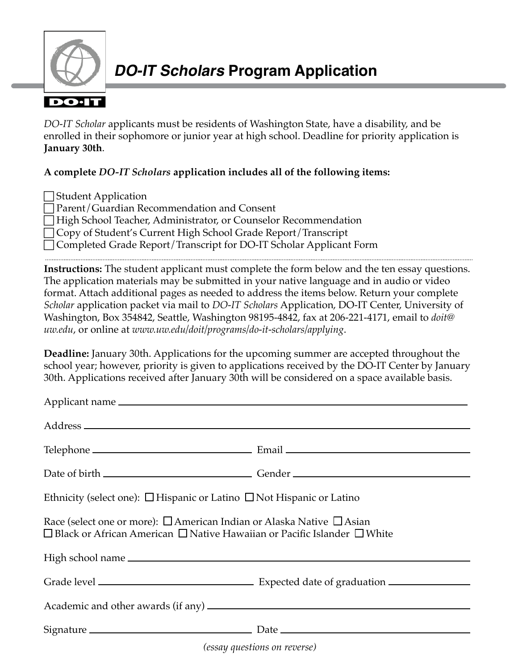

*DO‑IT Scholar* applicants must be residents of Washington State, have a disability, and be enrolled in their sophomore or junior year at high school. Deadline for priority application is **January 30th**.

## **A complete** *DO-IT Scholars* **application includes all of the following items:**

Student Application c Parent/Guardian Recommendation and Consent High School Teacher, Administrator, or Counselor Recommendation □ Copy of Student's Current High School Grade Report/Transcript c Completed Grade Report/Transcript for DO-IT Scholar Applicant Form

**Instructions:** The student applicant must complete the form below and the ten essay questions. The application materials may be submitted in your native language and in audio or video format. Attach additional pages as needed to address the items below. Return your complete *Scholar* application packet via mail to *DO-IT Scholars* Application, DO-IT Center, University of Washington, Box 354842, Seattle, Washington 98195-4842, fax at 206-221-4171, email to *doit@ uw.edu*, or online at *[www.uw.edu/doit/programs/do-it-scholars/applying](http://www.uw.edu/doit/programs/do-it-scholars/applying)*.

**Deadline:** January 30th. Applications for the upcoming summer are accepted throughout the school year; however, priority is given to applications received by the DO-IT Center by January 30th. Applications received after January 30th will be considered on a space available basis.

| Ethnicity (select one): $\Box$ Hispanic or Latino $\Box$ Not Hispanic or Latino                                                                                                                                              |  |
|------------------------------------------------------------------------------------------------------------------------------------------------------------------------------------------------------------------------------|--|
| Race (select one or more): $\Box$ American Indian or Alaska Native $\Box$ Asian<br>$\Box$ Black or African American $\Box$ Native Hawaiian or Pacific Islander $\Box$ White                                                  |  |
|                                                                                                                                                                                                                              |  |
|                                                                                                                                                                                                                              |  |
|                                                                                                                                                                                                                              |  |
| 1000 - 1000 - 1000 - 1000 - 1000 - 1000 - 1000 - 1000 - 1000 - 1000 - 1000 - 1000 - 1000 - 1000 - 1000 - 1000 - 1000 - 1000 - 1000 - 1000 - 1000 - 1000 - 1000 - 1000 - 1000 - 1000 - 1000 - 1000 - 1000 - 1000 - 1000 - 100 |  |

*(essay questions on reverse)*